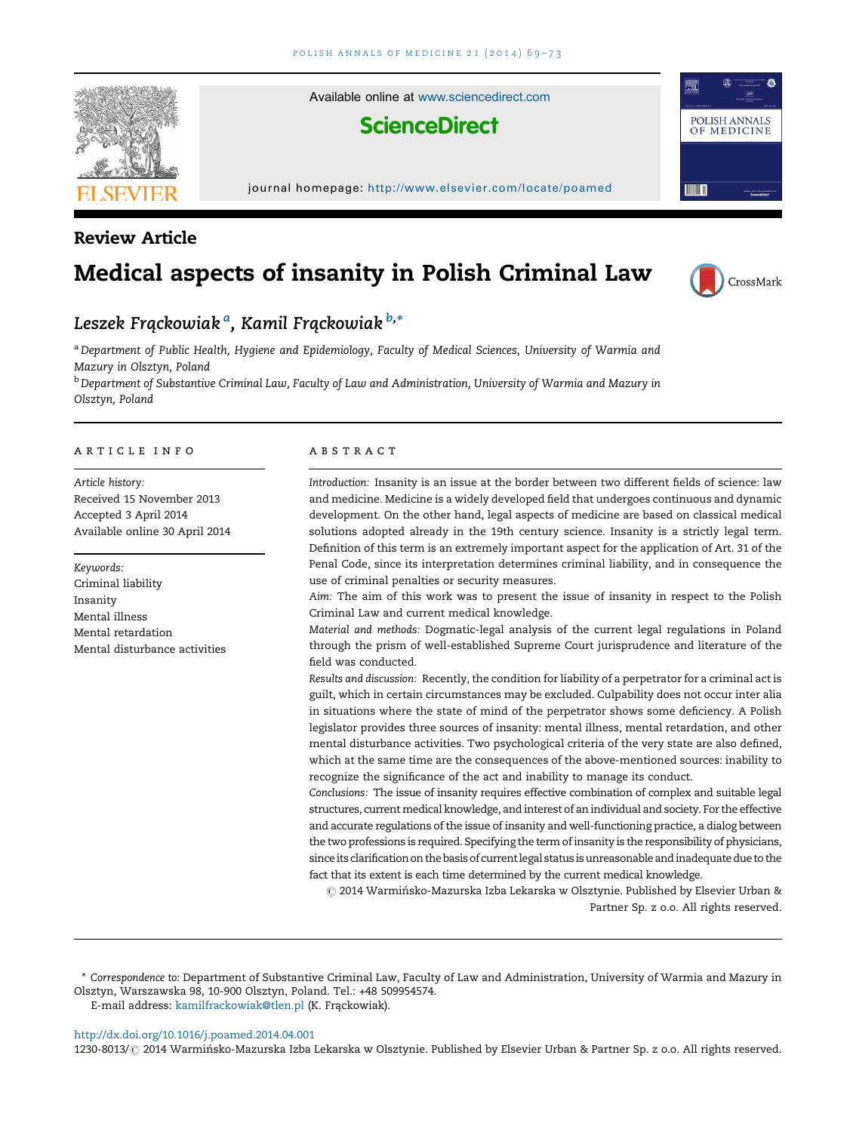

# Medical aspects of insanity in Polish Criminal Law



# Leszek Frąckowiak <sup>a</sup>, Kamil Frąckowiak <sup>b,</sup>\*

a Department of Public Health, Hygiene and Epidemiology, Faculty of Medical Sciences, University of Warmia and Mazury in Olsztyn, Poland

<sup>b</sup> Department of Substantive Criminal Law, Faculty of Law and Administration, University of Warmia and Mazury in Olsztyn, Poland

#### a r t i c l e i n f o

Article history: Received 15 November 2013 Accepted 3 April 2014 Available online 30 April 2014

Keywords: Criminal liability Insanity Mental illness Mental retardation Mental disturbance activities

#### a b s t r a c t

Introduction: Insanity is an issue at the border between two different fields of science: law and medicine. Medicine is a widely developed field that undergoes continuous and dynamic development. On the other hand, legal aspects of medicine are based on classical medical solutions adopted already in the 19th century science. Insanity is a strictly legal term. Definition of this term is an extremely important aspect for the application of Art. 31 of the Penal Code, since its interpretation determines criminal liability, and in consequence the use of criminal penalties or security measures.

Aim: The aim of this work was to present the issue of insanity in respect to the Polish Criminal Law and current medical knowledge.

Material and methods: Dogmatic-legal analysis of the current legal regulations in Poland through the prism of well-established Supreme Court jurisprudence and literature of the field was conducted.

Results and discussion: Recently, the condition for liability of a perpetrator for a criminal act is guilt, which in certain circumstances may be excluded. Culpability does not occur inter alia in situations where the state of mind of the perpetrator shows some deficiency. A Polish legislator provides three sources of insanity: mental illness, mental retardation, and other mental disturbance activities. Two psychological criteria of the very state are also defined, which at the same time are the consequences of the above-mentioned sources: inability to recognize the significance of the act and inability to manage its conduct.

Conclusions: The issue of insanity requires effective combination of complex and suitable legal structures, current medical knowledge, and interest of an individual and society. For the effective and accurate regulations of the issue of insanity and well-functioning practice, a dialog between the two professions is required. Specifying the term ofinsanity is the responsibility of physicians, since its clarification on the basis of current legal status is unreasonable and inadequate due to the fact that its extent is each time determined by the current medical knowledge.

 $\odot$  2014 Warmińsko-Mazurska Izba Lekarska w Olsztynie. Published by Elsevier Urban & Partner Sp. z o.o. All rights reserved.

\* Correspondence to: Department of Substantive Criminal Law, Faculty of Law and Administration, University of Warmia and Mazury in Olsztyn, Warszawska 98, 10-900 Olsztyn, Poland. Tel.: +48 509954574.

E-mail address: [kamilfrackowiak@tlen.pl](mailto:kamilfrackowiak@tlen.pl) (K. Frąckowiak).

<http://dx.doi.org/10.1016/j.poamed.2014.04.001>

1230-8013/ @ 2014 Warmińsko-Mazurska Izba Lekarska w Olsztynie. Published by Elsevier Urban & Partner Sp. z o.o. All rights reserved.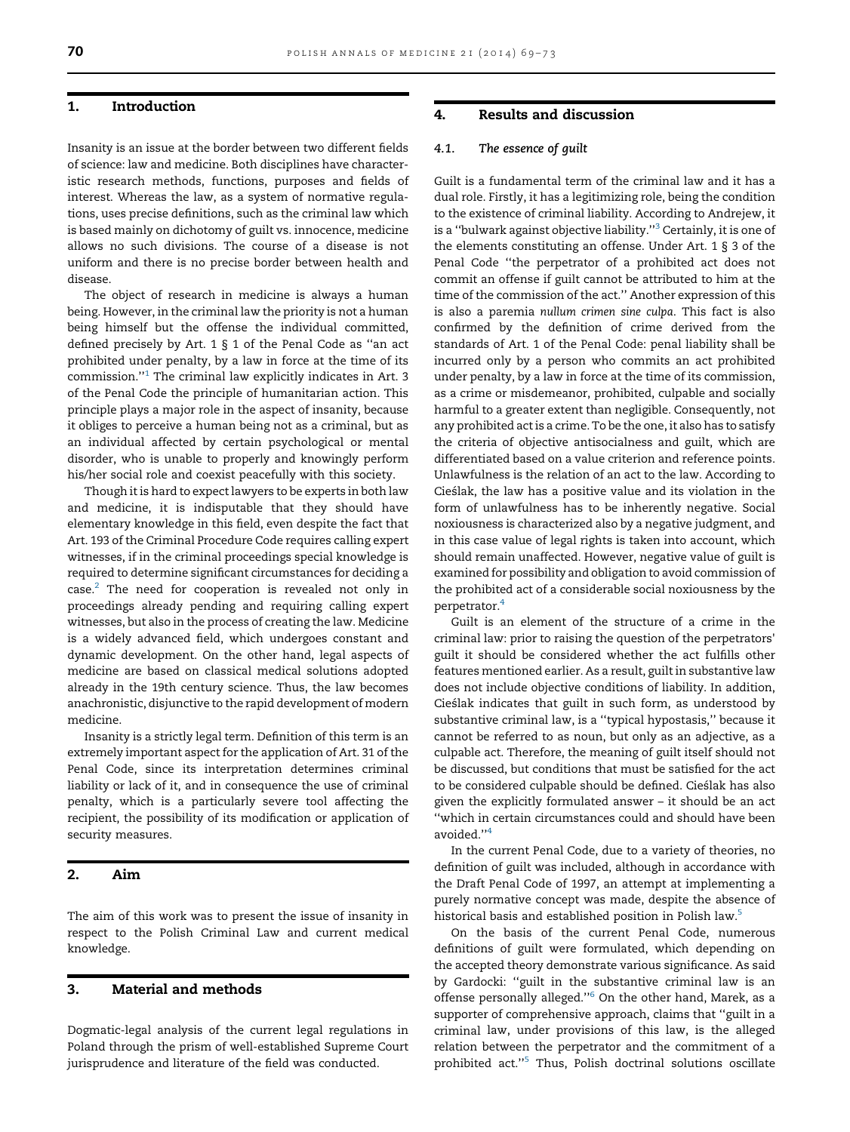# 1. Introduction

Insanity is an issue at the border between two different fields of science: law and medicine. Both disciplines have characteristic research methods, functions, purposes and fields of interest. Whereas the law, as a system of normative regulations, uses precise definitions, such as the criminal law which is based mainly on dichotomy of guilt vs. innocence, medicine allows no such divisions. The course of a disease is not uniform and there is no precise border between health and disease.

The object of research in medicine is always a human being. However, in the criminal law the priority is not a human being himself but the offense the individual committed, defined precisely by Art. 1 § 1 of the Penal Code as ''an act prohibited under penalty, by a law in force at the time of its commission."<sup>[1](#page-4-0)</sup> The criminal law explicitly indicates in Art. 3 of the Penal Code the principle of humanitarian action. This principle plays a major role in the aspect of insanity, because it obliges to perceive a human being not as a criminal, but as an individual affected by certain psychological or mental disorder, who is unable to properly and knowingly perform his/her social role and coexist peacefully with this society.

Though it is hard to expect lawyers to be experts in both law and medicine, it is indisputable that they should have elementary knowledge in this field, even despite the fact that Art. 193 of the Criminal Procedure Code requires calling expert witnesses, if in the criminal proceedings special knowledge is required to determine significant circumstances for deciding a case.<sup>2</sup> The need for cooperation is revealed not only in proceedings already pending and requiring calling expert witnesses, but also in the process of creating the law. Medicine is a widely advanced field, which undergoes constant and dynamic development. On the other hand, legal aspects of medicine are based on classical medical solutions adopted already in the 19th century science. Thus, the law becomes anachronistic, disjunctive to the rapid development of modern medicine.

Insanity is a strictly legal term. Definition of this term is an extremely important aspect for the application of Art. 31 of the Penal Code, since its interpretation determines criminal liability or lack of it, and in consequence the use of criminal penalty, which is a particularly severe tool affecting the recipient, the possibility of its modification or application of security measures.

# 2. Aim

The aim of this work was to present the issue of insanity in respect to the Polish Criminal Law and current medical knowledge.

# 3. Material and methods

Dogmatic-legal analysis of the current legal regulations in Poland through the prism of well-established Supreme Court jurisprudence and literature of the field was conducted.

## 4. Results and discussion

## 4.1. The essence of guilt

Guilt is a fundamental term of the criminal law and it has a dual role. Firstly, it has a legitimizing role, being the condition to the existence of criminal liability. According to Andrejew, it is a ''bulwark against objective liability.''[3](#page-4-0) Certainly, it is one of the elements constituting an offense. Under Art. 1 § 3 of the Penal Code ''the perpetrator of a prohibited act does not commit an offense if guilt cannot be attributed to him at the time of the commission of the act.'' Another expression of this is also a paremia nullum crimen sine culpa. This fact is also confirmed by the definition of crime derived from the standards of Art. 1 of the Penal Code: penal liability shall be incurred only by a person who commits an act prohibited under penalty, by a law in force at the time of its commission, as a crime or misdemeanor, prohibited, culpable and socially harmful to a greater extent than negligible. Consequently, not any prohibited act is a crime. To be the one, it also has to satisfy the criteria of objective antisocialness and guilt, which are differentiated based on a value criterion and reference points. Unlawfulness is the relation of an act to the law. According to Cieślak, the law has a positive value and its violation in the form of unlawfulness has to be inherently negative. Social noxiousness is characterized also by a negative judgment, and in this case value of legal rights is taken into account, which should remain unaffected. However, negative value of guilt is examined for possibility and obligation to avoid commission of the prohibited act of a considerable social noxiousness by the perpetrator.[4](#page-4-0)

Guilt is an element of the structure of a crime in the criminal law: prior to raising the question of the perpetrators' guilt it should be considered whether the act fulfills other features mentioned earlier. As a result, guilt in substantive law does not include objective conditions of liability. In addition, Cieślak indicates that guilt in such form, as understood by substantive criminal law, is a ''typical hypostasis,'' because it cannot be referred to as noun, but only as an adjective, as a culpable act. Therefore, the meaning of guilt itself should not be discussed, but conditions that must be satisfied for the act to be considered culpable should be defined. Cieślak has also given the explicitly formulated answer – it should be an act ''which in certain circumstances could and should have been avoided.''[4](#page-4-0)

In the current Penal Code, due to a variety of theories, no definition of guilt was included, although in accordance with the Draft Penal Code of 1997, an attempt at implementing a purely normative concept was made, despite the absence of historical basis and established position in Polish law.[5](#page-4-0)

On the basis of the current Penal Code, numerous definitions of guilt were formulated, which depending on the accepted theory demonstrate various significance. As said by Gardocki: ''guilt in the substantive criminal law is an offense personally alleged."<sup>[6](#page-4-0)</sup> On the other hand, Marek, as a supporter of comprehensive approach, claims that ''guilt in a criminal law, under provisions of this law, is the alleged relation between the perpetrator and the commitment of a prohibited act.''[5](#page-4-0) Thus, Polish doctrinal solutions oscillate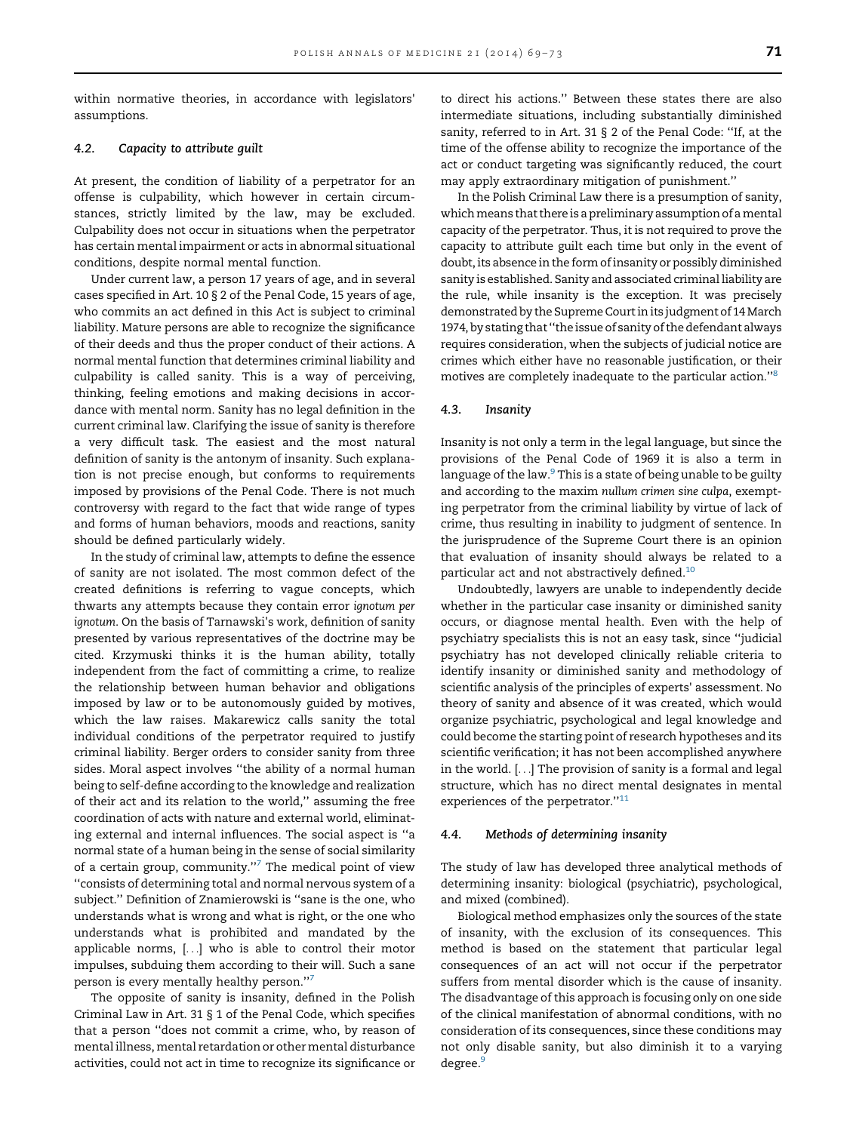within normative theories, in accordance with legislators' assumptions.

#### 4.2. Capacity to attribute guilt

At present, the condition of liability of a perpetrator for an offense is culpability, which however in certain circumstances, strictly limited by the law, may be excluded. Culpability does not occur in situations when the perpetrator has certain mental impairment or acts in abnormal situational conditions, despite normal mental function.

Under current law, a person 17 years of age, and in several cases specified in Art. 10 § 2 of the Penal Code, 15 years of age, who commits an act defined in this Act is subject to criminal liability. Mature persons are able to recognize the significance of their deeds and thus the proper conduct of their actions. A normal mental function that determines criminal liability and culpability is called sanity. This is a way of perceiving, thinking, feeling emotions and making decisions in accordance with mental norm. Sanity has no legal definition in the current criminal law. Clarifying the issue of sanity is therefore a very difficult task. The easiest and the most natural definition of sanity is the antonym of insanity. Such explanation is not precise enough, but conforms to requirements imposed by provisions of the Penal Code. There is not much controversy with regard to the fact that wide range of types and forms of human behaviors, moods and reactions, sanity should be defined particularly widely.

In the study of criminal law, attempts to define the essence of sanity are not isolated. The most common defect of the created definitions is referring to vague concepts, which thwarts any attempts because they contain error ignotum per ignotum. On the basis of Tarnawski's work, definition of sanity presented by various representatives of the doctrine may be cited. Krzymuski thinks it is the human ability, totally independent from the fact of committing a crime, to realize the relationship between human behavior and obligations imposed by law or to be autonomously guided by motives, which the law raises. Makarewicz calls sanity the total individual conditions of the perpetrator required to justify criminal liability. Berger orders to consider sanity from three sides. Moral aspect involves ''the ability of a normal human being to self-define according to the knowledge and realization of their act and its relation to the world,'' assuming the free coordination of acts with nature and external world, eliminating external and internal influences. The social aspect is ''a normal state of a human being in the sense of social similarity of a certain group, community."<sup>[7](#page-4-0)</sup> The medical point of view ''consists of determining total and normal nervous system of a subject.'' Definition of Znamierowski is ''sane is the one, who understands what is wrong and what is right, or the one who understands what is prohibited and mandated by the applicable norms, [. . .] who is able to control their motor impulses, subduing them according to their will. Such a sane person is every mentally healthy person.''[7](#page-4-0)

The opposite of sanity is insanity, defined in the Polish Criminal Law in Art. 31 § 1 of the Penal Code, which specifies that a person ''does not commit a crime, who, by reason of mental illness, mental retardation or other mental disturbance activities, could not act in time to recognize its significance or

to direct his actions.'' Between these states there are also intermediate situations, including substantially diminished sanity, referred to in Art. 31 § 2 of the Penal Code: ''If, at the time of the offense ability to recognize the importance of the act or conduct targeting was significantly reduced, the court may apply extraordinary mitigation of punishment.''

In the Polish Criminal Law there is a presumption of sanity, which means that there is a preliminary assumption of a mental capacity of the perpetrator. Thus, it is not required to prove the capacity to attribute guilt each time but only in the event of doubt, its absence in the form of insanity or possibly diminished sanity is established. Sanity and associated criminal liability are the rule, while insanity is the exception. It was precisely demonstrated by the Supreme Court in its judgment of 14 March 1974, by stating that "the issue of sanity of the defendant always requires consideration, when the subjects of judicial notice are crimes which either have no reasonable justification, or their motives are completely inadequate to the particular action.''[8](#page-4-0)

#### 4.3. Insanity

Insanity is not only a term in the legal language, but since the provisions of the Penal Code of 1969 it is also a term in language of the law. $9$  This is a state of being unable to be guilty and according to the maxim nullum crimen sine culpa, exempting perpetrator from the criminal liability by virtue of lack of crime, thus resulting in inability to judgment of sentence. In the jurisprudence of the Supreme Court there is an opinion that evaluation of insanity should always be related to a particular act and not abstractively defined[.10](#page-4-0)

Undoubtedly, lawyers are unable to independently decide whether in the particular case insanity or diminished sanity occurs, or diagnose mental health. Even with the help of psychiatry specialists this is not an easy task, since ''judicial psychiatry has not developed clinically reliable criteria to identify insanity or diminished sanity and methodology of scientific analysis of the principles of experts' assessment. No theory of sanity and absence of it was created, which would organize psychiatric, psychological and legal knowledge and could become the starting point of research hypotheses and its scientific verification; it has not been accomplished anywhere in the world. [. . .] The provision of sanity is a formal and legal structure, which has no direct mental designates in mental experiences of the perpetrator."<sup>[11](#page-4-0)</sup>

# 4.4. Methods of determining insanity

The study of law has developed three analytical methods of determining insanity: biological (psychiatric), psychological, and mixed (combined).

Biological method emphasizes only the sources of the state of insanity, with the exclusion of its consequences. This method is based on the statement that particular legal consequences of an act will not occur if the perpetrator suffers from mental disorder which is the cause of insanity. The disadvantage of this approach is focusing only on one side of the clinical manifestation of abnormal conditions, with no consideration of its consequences, since these conditions may not only disable sanity, but also diminish it to a varying degree.<sup>[9](#page-4-0)</sup>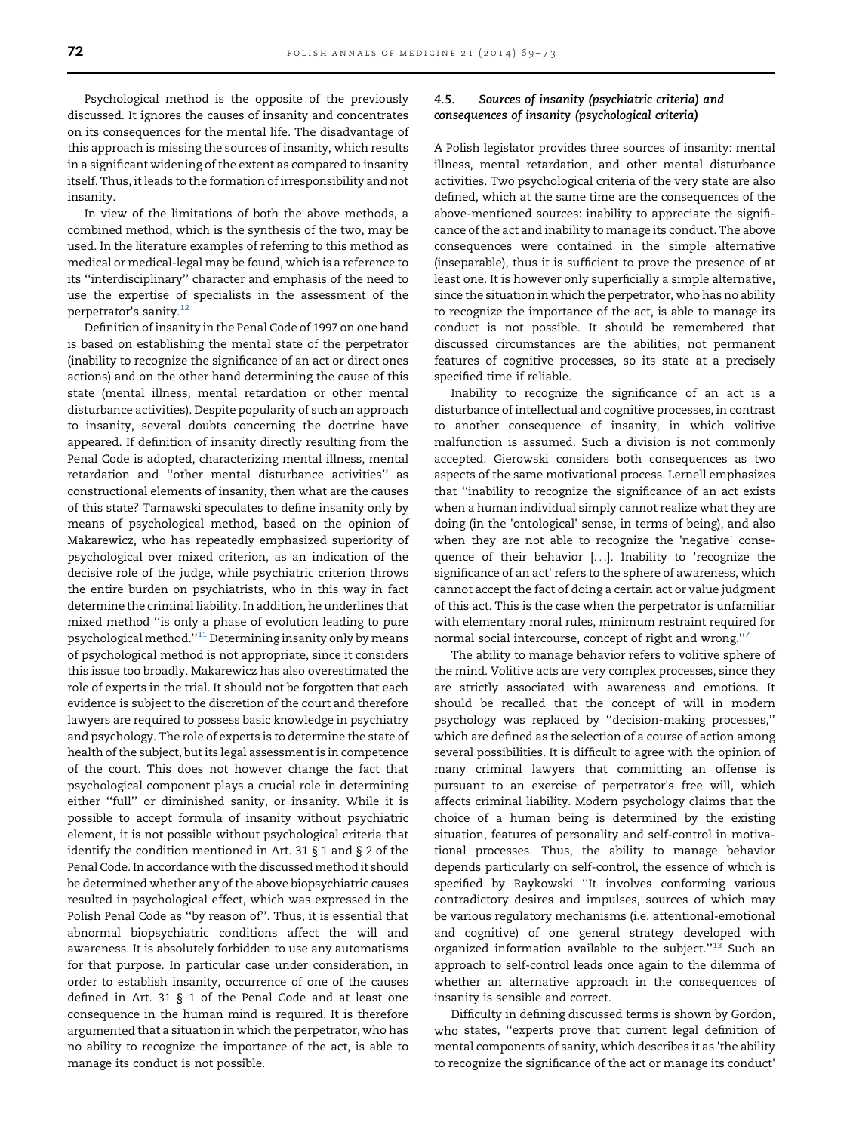Psychological method is the opposite of the previously discussed. It ignores the causes of insanity and concentrates on its consequences for the mental life. The disadvantage of this approach is missing the sources of insanity, which results in a significant widening of the extent as compared to insanity itself. Thus, it leads to the formation of irresponsibility and not insanity.

In view of the limitations of both the above methods, a combined method, which is the synthesis of the two, may be used. In the literature examples of referring to this method as medical or medical-legal may be found, which is a reference to its ''interdisciplinary'' character and emphasis of the need to use the expertise of specialists in the assessment of the perpetrator's sanity[.12](#page-4-0)

Definition of insanity in the Penal Code of 1997 on one hand is based on establishing the mental state of the perpetrator (inability to recognize the significance of an act or direct ones actions) and on the other hand determining the cause of this state (mental illness, mental retardation or other mental disturbance activities). Despite popularity of such an approach to insanity, several doubts concerning the doctrine have appeared. If definition of insanity directly resulting from the Penal Code is adopted, characterizing mental illness, mental retardation and ''other mental disturbance activities'' as constructional elements of insanity, then what are the causes of this state? Tarnawski speculates to define insanity only by means of psychological method, based on the opinion of Makarewicz, who has repeatedly emphasized superiority of psychological over mixed criterion, as an indication of the decisive role of the judge, while psychiatric criterion throws the entire burden on psychiatrists, who in this way in fact determine the criminal liability. In addition, he underlines that mixed method ''is only a phase of evolution leading to pure psychological method.''[11](#page-4-0) Determining insanity only by means of psychological method is not appropriate, since it considers this issue too broadly. Makarewicz has also overestimated the role of experts in the trial. It should not be forgotten that each evidence is subject to the discretion of the court and therefore lawyers are required to possess basic knowledge in psychiatry and psychology. The role of experts is to determine the state of health of the subject, but its legal assessment is in competence of the court. This does not however change the fact that psychological component plays a crucial role in determining either ''full'' or diminished sanity, or insanity. While it is possible to accept formula of insanity without psychiatric element, it is not possible without psychological criteria that identify the condition mentioned in Art. 31 § 1 and § 2 of the Penal Code. In accordance with the discussed method it should be determined whether any of the above biopsychiatric causes resulted in psychological effect, which was expressed in the Polish Penal Code as ''by reason of''. Thus, it is essential that abnormal biopsychiatric conditions affect the will and awareness. It is absolutely forbidden to use any automatisms for that purpose. In particular case under consideration, in order to establish insanity, occurrence of one of the causes defined in Art. 31 § 1 of the Penal Code and at least one consequence in the human mind is required. It is therefore argumented that a situation in which the perpetrator, who has no ability to recognize the importance of the act, is able to manage its conduct is not possible.

## 4.5. Sources of insanity (psychiatric criteria) and consequences of insanity (psychological criteria)

A Polish legislator provides three sources of insanity: mental illness, mental retardation, and other mental disturbance activities. Two psychological criteria of the very state are also defined, which at the same time are the consequences of the above-mentioned sources: inability to appreciate the significance of the act and inability to manage its conduct. The above consequences were contained in the simple alternative (inseparable), thus it is sufficient to prove the presence of at least one. It is however only superficially a simple alternative, since the situation in which the perpetrator, who has no ability to recognize the importance of the act, is able to manage its conduct is not possible. It should be remembered that discussed circumstances are the abilities, not permanent features of cognitive processes, so its state at a precisely specified time if reliable.

Inability to recognize the significance of an act is a disturbance of intellectual and cognitive processes, in contrast to another consequence of insanity, in which volitive malfunction is assumed. Such a division is not commonly accepted. Gierowski considers both consequences as two aspects of the same motivational process. Lernell emphasizes that ''inability to recognize the significance of an act exists when a human individual simply cannot realize what they are doing (in the 'ontological' sense, in terms of being), and also when they are not able to recognize the 'negative' consequence of their behavior [...]. Inability to 'recognize the significance of an act' refers to the sphere of awareness, which cannot accept the fact of doing a certain act or value judgment of this act. This is the case when the perpetrator is unfamiliar with elementary moral rules, minimum restraint required for normal social intercourse, concept of right and wrong.''[7](#page-4-0)

The ability to manage behavior refers to volitive sphere of the mind. Volitive acts are very complex processes, since they are strictly associated with awareness and emotions. It should be recalled that the concept of will in modern psychology was replaced by ''decision-making processes,'' which are defined as the selection of a course of action among several possibilities. It is difficult to agree with the opinion of many criminal lawyers that committing an offense is pursuant to an exercise of perpetrator's free will, which affects criminal liability. Modern psychology claims that the choice of a human being is determined by the existing situation, features of personality and self-control in motivational processes. Thus, the ability to manage behavior depends particularly on self-control, the essence of which is specified by Raykowski ''It involves conforming various contradictory desires and impulses, sources of which may be various regulatory mechanisms (i.e. attentional-emotional and cognitive) of one general strategy developed with organized information available to the subject.''[13](#page-4-0) Such an approach to self-control leads once again to the dilemma of whether an alternative approach in the consequences of insanity is sensible and correct.

Difficulty in defining discussed terms is shown by Gordon, who states, ''experts prove that current legal definition of mental components of sanity, which describes it as 'the ability to recognize the significance of the act or manage its conduct'